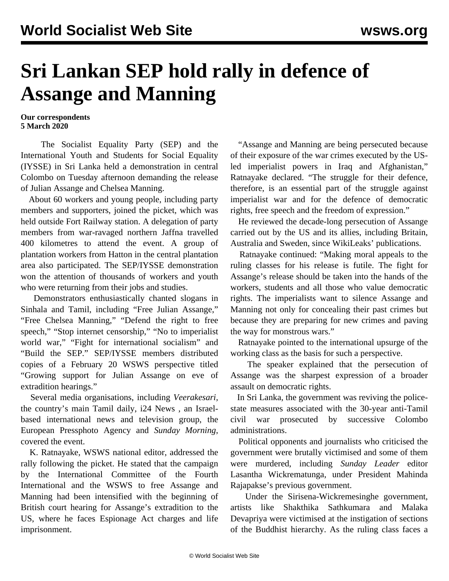## **Sri Lankan SEP hold rally in defence of Assange and Manning**

**Our correspondents 5 March 2020**

 The Socialist Equality Party (SEP) and the International Youth and Students for Social Equality (IYSSE) in Sri Lanka held a demonstration in central Colombo on Tuesday afternoon demanding the release of Julian Assange and Chelsea Manning.

 About 60 workers and young people, including party members and supporters, joined the picket, which was held outside Fort Railway station. A delegation of party members from war-ravaged northern Jaffna travelled 400 kilometres to attend the event. A group of plantation workers from Hatton in the central plantation area also participated. The SEP/IYSSE demonstration won the attention of thousands of workers and youth who were returning from their jobs and studies.

 Demonstrators enthusiastically chanted slogans in Sinhala and Tamil, including "Free Julian Assange," "Free Chelsea Manning," "Defend the right to free speech," "Stop internet censorship," "No to imperialist world war," "Fight for international socialism" and "Build the SEP." SEP/IYSSE members distributed copies of a February 20 WSWS perspective titled "[Growing support for Julian Assange on eve of](/en/articles/2020/02/20/pers-f20.html) [extradition hearings.](/en/articles/2020/02/20/pers-f20.html)"

 Several media organisations, including *Veerakesari,* the country's main Tamil daily, i24 News *,* an Israelbased international news and television group, the European Pressphoto Agency and *Sunday Morning*, covered the event.

 K. Ratnayake, WSWS national editor, addressed the rally following the picket. He stated that the campaign by the International Committee of the Fourth International and the WSWS to free Assange and Manning had been intensified with the beginning of British court hearing for Assange's extradition to the US, where he faces Espionage Act charges and life imprisonment.

 "Assange and Manning are being persecuted because of their exposure of the war crimes executed by the USled imperialist powers in Iraq and Afghanistan," Ratnayake declared. "The struggle for their defence, therefore, is an essential part of the struggle against imperialist war and for the defence of democratic rights, free speech and the freedom of expression."

 He reviewed the decade-long persecution of Assange carried out by the US and its allies, including Britain, Australia and Sweden, since WikiLeaks' publications.

 Ratnayake continued: "Making moral appeals to the ruling classes for his release is futile. The fight for Assange's release should be taken into the hands of the workers, students and all those who value democratic rights. The imperialists want to silence Assange and Manning not only for concealing their past crimes but because they are preparing for new crimes and paving the way for monstrous wars."

 Ratnayake pointed to the international upsurge of the working class as the basis for such a perspective.

 The speaker explained that the persecution of Assange was the sharpest expression of a broader assault on democratic rights.

 In Sri Lanka, the government was reviving the policestate measures associated with the 30-year anti-Tamil civil war prosecuted by successive Colombo administrations.

 Political opponents and journalists who criticised the government were brutally victimised and some of them were murdered, including *Sunday Leader* editor Lasantha Wickrematunga, under President Mahinda Rajapakse's previous government.

 Under the Sirisena-Wickremesinghe government, artists like Shakthika Sathkumara and Malaka Devapriya were victimised at the instigation of sections of the Buddhist hierarchy. As the ruling class faces a